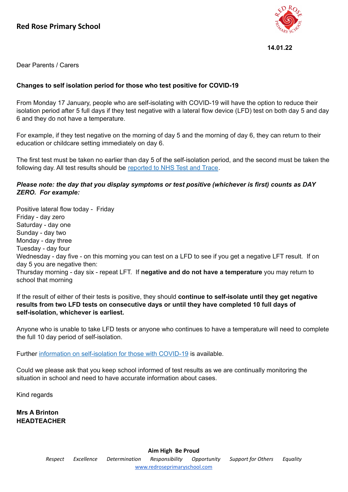

**14.01.22**

Dear Parents / Carers

## **Changes to self isolation period for those who test positive for COVID-19**

From Monday 17 January, people who are self-isolating with COVID-19 will have the option to reduce their isolation period after 5 full days if they test negative with a lateral flow device (LFD) test on both day 5 and day 6 and they do not have a temperature.

For example, if they test negative on the morning of day 5 and the morning of day 6, they can return to their education or childcare setting immediately on day 6.

The first test must be taken no earlier than day 5 of the self-isolation period, and the second must be taken the following day. All test results should be [reported](https://www.gov.uk/report-covid19-result?utm_source=14%20January%202022%20C19&utm_medium=Daily%20Email%20C19&utm_campaign=DfE%20C19) to NHS Test and Trace.

## *Please note: the day that you display symptoms or test positive (whichever is first) counts as DAY ZERO. For example:*

Positive lateral flow today - Friday Friday - day zero Saturday - day one Sunday - day two Monday - day three Tuesday - day four Wednesday - day five - on this morning you can test on a LFD to see if you get a negative LFT result. If on day 5 you are negative then: Thursday morning - day six - repeat LFT. If **negative and do not have a temperature** you may return to school that morning

If the result of either of their tests is positive, they should **continue to self-isolate until they get negative results from two LFD tests on consecutive days or until they have completed 10 full days of self-isolation, whichever is earliest.**

Anyone who is unable to take LFD tests or anyone who continues to have a temperature will need to complete the full 10 day period of self-isolation.

Further information on [self-isolation](https://www.gov.uk/government/news/self-isolation-for-those-with-covid-19-can-end-after-five-full-days-following-two-negative-lfd-tests?utm_source=14%20January%202022%20C19&utm_medium=Daily%20Email%20C19&utm_campaign=DfE%20C19) for those with COVID-19 is available.

Could we please ask that you keep school informed of test results as we are continually monitoring the situation in school and need to have accurate information about cases.

Kind regards

**Mrs A Brinton HEADTEACHER**